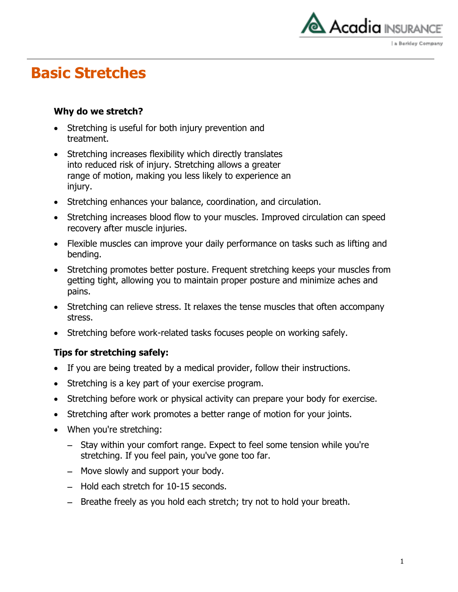

## **Basic Stretches**

### **Why do we stretch?**

- Stretching is useful for both injury prevention and treatment.
- Stretching increases flexibility which directly translates into reduced risk of injury. Stretching allows a greater range of motion, making you less likely to experience an injury.
- Stretching enhances your balance, coordination, and circulation.
- Stretching increases blood flow to your muscles. Improved circulation can speed recovery after muscle injuries.
- Flexible muscles can improve your daily performance on tasks such as lifting and bending.
- Stretching promotes better posture. Frequent stretching keeps your muscles from getting tight, allowing you to maintain proper posture and minimize aches and pains.
- Stretching can relieve stress. It relaxes the tense muscles that often accompany stress.
- Stretching before work-related tasks focuses people on working safely.

### **Tips for stretching safely:**

- If you are being treated by a medical provider, follow their instructions.
- Stretching is a key part of your exercise program.
- Stretching before work or physical activity can prepare your body for exercise.
- Stretching after work promotes a better range of motion for your joints.
- When you're stretching:
	- Stay within your comfort range. Expect to feel some tension while you're stretching. If you feel pain, you've gone too far.
	- Move slowly and support your body.
	- Hold each stretch for 10-15 seconds.
	- Breathe freely as you hold each stretch; try not to hold your breath.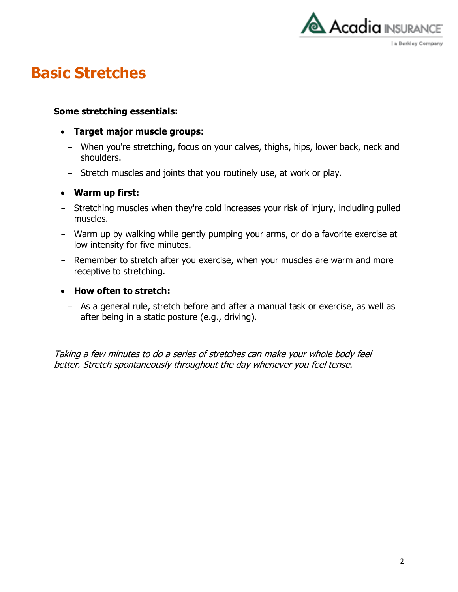

# **Basic Stretches**

### **Some stretching essentials:**

- **Target major muscle groups:**
	- When you're stretching, focus on your calves, thighs, hips, lower back, neck and shoulders.
	- Stretch muscles and joints that you routinely use, at work or play.

### **Warm up first:**

- Stretching muscles when they're cold increases your risk of injury, including pulled muscles.
- Warm up by walking while gently pumping your arms, or do a favorite exercise at low intensity for five minutes.
- Remember to stretch after you exercise, when your muscles are warm and more receptive to stretching.

#### **How often to stretch:**

- As a general rule, stretch before and after a manual task or exercise, as well as after being in a static posture (e.g., driving).

Taking a few minutes to do a series of stretches can make your whole body feel better. Stretch spontaneously throughout the day whenever you feel tense.